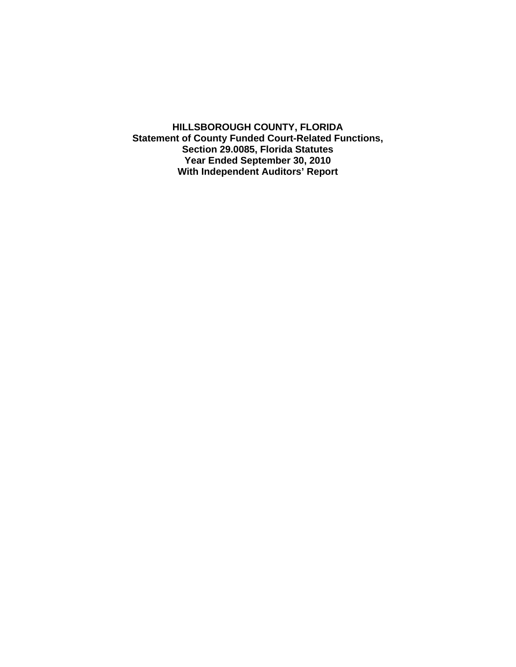**HILLSBOROUGH COUNTY, FLORIDA Statement of County Funded Court-Related Functions, Section 29.0085, Florida Statutes Year Ended September 30, 2010 With Independent Auditors' Report**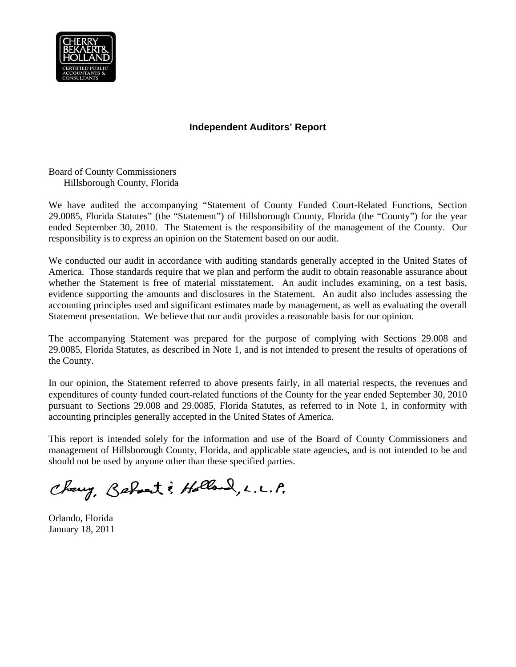

# **Independent Auditors' Report**

Board of County Commissioners Hillsborough County, Florida

We have audited the accompanying "Statement of County Funded Court-Related Functions, Section 29.0085, Florida Statutes" (the "Statement") of Hillsborough County, Florida (the "County") for the year ended September 30, 2010. The Statement is the responsibility of the management of the County. Our responsibility is to express an opinion on the Statement based on our audit.

We conducted our audit in accordance with auditing standards generally accepted in the United States of America. Those standards require that we plan and perform the audit to obtain reasonable assurance about whether the Statement is free of material misstatement. An audit includes examining, on a test basis, evidence supporting the amounts and disclosures in the Statement. An audit also includes assessing the accounting principles used and significant estimates made by management, as well as evaluating the overall Statement presentation. We believe that our audit provides a reasonable basis for our opinion.

The accompanying Statement was prepared for the purpose of complying with Sections 29.008 and 29.0085, Florida Statutes, as described in Note 1, and is not intended to present the results of operations of the County.

In our opinion, the Statement referred to above presents fairly, in all material respects, the revenues and expenditures of county funded court-related functions of the County for the year ended September 30, 2010 pursuant to Sections 29.008 and 29.0085, Florida Statutes, as referred to in Note 1, in conformity with accounting principles generally accepted in the United States of America.

This report is intended solely for the information and use of the Board of County Commissioners and management of Hillsborough County, Florida, and applicable state agencies, and is not intended to be and should not be used by anyone other than these specified parties.

Chang, Behart: Holland, L.L.P.

Orlando, Florida January 18, 2011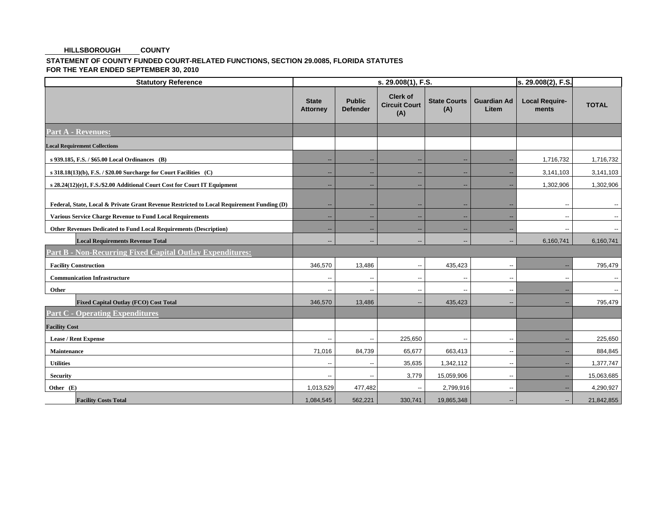#### **COUNTY HILLSBOROUGH**

### **STATEMENT OF COUNTY FUNDED COURT-RELATED FUNCTIONS, SECTION 29.0085, FLORIDA STATUTES FOR THE YEAR ENDED SEPTEMBER 30, 2010**

| <b>Statutory Reference</b>                                                                | s. 29.008(1), F.S.              |                                  |                                                |                            |                             | s. 29.008(2), F.S.             |              |
|-------------------------------------------------------------------------------------------|---------------------------------|----------------------------------|------------------------------------------------|----------------------------|-----------------------------|--------------------------------|--------------|
|                                                                                           | <b>State</b><br><b>Attorney</b> | <b>Public</b><br><b>Defender</b> | <b>Clerk of</b><br><b>Circuit Court</b><br>(A) | <b>State Courts</b><br>(A) | <b>Guardian Ad</b><br>Litem | <b>Local Require-</b><br>ments | <b>TOTAL</b> |
| <b>Part A - Revenues:</b>                                                                 |                                 |                                  |                                                |                            |                             |                                |              |
| <b>Local Requirement Collections</b>                                                      |                                 |                                  |                                                |                            |                             |                                |              |
| s 939.185, F.S. / \$65.00 Local Ordinances (B)                                            | н.                              | $\overline{\phantom{a}}$         | $\overline{\phantom{a}}$                       | $\overline{\phantom{a}}$   | $\overline{a}$              | 1,716,732                      | 1,716,732    |
| s 318.18(13)(b), F.S. / \$20.00 Surcharge for Court Facilities (C)                        | н.                              | $\overline{\phantom{a}}$         | $\overline{\phantom{a}}$                       | $\overline{\phantom{a}}$   | н.                          | 3,141,103                      | 3,141,103    |
| s 28.24(12)(e)1, F.S./\$2.00 Additional Court Cost for Court IT Equipment                 | $\sim$                          | $\sim$                           | $\overline{\phantom{a}}$                       | $\overline{\phantom{a}}$   | $\overline{a}$              | 1,302,906                      | 1,302,906    |
| Federal, State, Local & Private Grant Revenue Restricted to Local Requirement Funding (D) |                                 | $\sim$                           | $\overline{\phantom{a}}$                       | $\overline{\phantom{a}}$   | н.                          | --                             |              |
| <b>Various Service Charge Revenue to Fund Local Requirements</b>                          | $\overline{\phantom{a}}$        | $\overline{\phantom{a}}$         | $\overline{\phantom{a}}$                       | $\overline{\phantom{a}}$   | н.                          | ٠.                             |              |
| Other Revenues Dedicated to Fund Local Requirements (Description)                         | $\overline{a}$                  | $\overline{\phantom{a}}$         | --                                             | $\overline{\phantom{a}}$   | $\overline{\phantom{a}}$    | $\overline{a}$                 |              |
| <b>Local Requirements Revenue Total</b>                                                   | $\overline{a}$                  | $\qquad \qquad -$                | $\overline{\phantom{a}}$                       | $\overline{\phantom{a}}$   | $\overline{\phantom{a}}$    | 6,160,741                      | 6,160,741    |
| <b>Part B - Non-Recurring Fixed Capital Outlay Expenditures:</b>                          |                                 |                                  |                                                |                            |                             |                                |              |
| <b>Facility Construction</b>                                                              | 346,570                         | 13,486                           | $\overline{\phantom{a}}$                       | 435,423                    | $\overline{\phantom{a}}$    |                                | 795,479      |
| <b>Communication Infrastructure</b>                                                       | $\overline{a}$                  | $\overline{\phantom{a}}$         | $\overline{\phantom{a}}$                       | $\overline{\phantom{a}}$   | $\overline{\phantom{a}}$    | $\overline{a}$                 |              |
| Other                                                                                     | $\overline{\phantom{a}}$        | $\overline{\phantom{a}}$         | $\overline{\phantom{a}}$                       | $\overline{\phantom{a}}$   | $\overline{\phantom{a}}$    | --                             |              |
| <b>Fixed Capital Outlay (FCO) Cost Total</b>                                              | 346,570                         | 13,486                           | $\overline{\phantom{a}}$                       | 435,423                    | $\overline{a}$              | --                             | 795,479      |
| <b>Part C - Operating Expenditures</b>                                                    |                                 |                                  |                                                |                            |                             |                                |              |
| <b>Facility Cost</b>                                                                      |                                 |                                  |                                                |                            |                             |                                |              |
| <b>Lease / Rent Expense</b>                                                               | $\overline{\phantom{a}}$        | $\overline{\phantom{a}}$         | 225,650                                        | $\overline{\phantom{a}}$   | $\overline{\phantom{a}}$    |                                | 225,650      |
| Maintenance                                                                               | 71,016                          | 84,739                           | 65,677                                         | 663,413                    | $\overline{\phantom{a}}$    | --                             | 884,845      |
| <b>Utilities</b>                                                                          | $\overline{\phantom{a}}$        | --                               | 35,635                                         | 1,342,112                  | $\overline{\phantom{a}}$    | --                             | 1,377,747    |
| <b>Security</b>                                                                           |                                 | ٠.                               | 3,779                                          | 15,059,906                 | $\overline{\phantom{a}}$    |                                | 15,063,685   |
| Other (E)                                                                                 | 1,013,529                       | 477,482                          | $\overline{\phantom{a}}$                       | 2,799,916                  | $\overline{\phantom{a}}$    |                                | 4,290,927    |
| <b>Facility Costs Total</b>                                                               | 1,084,545                       | 562,221                          | 330,741                                        | 19,865,348                 | н.                          | --                             | 21,842,855   |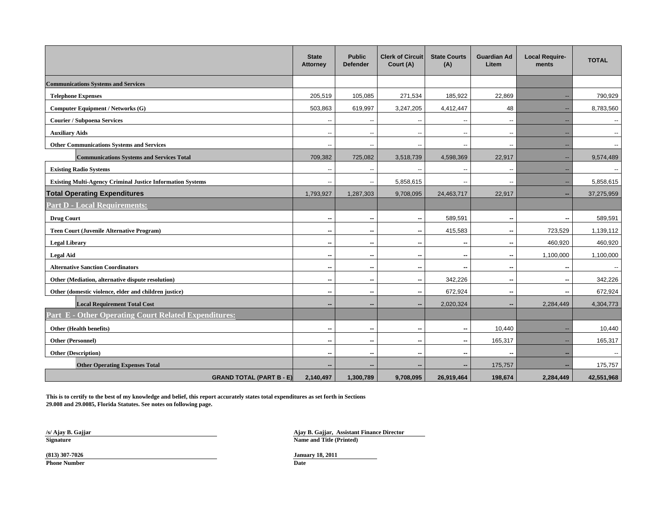|                                                                   | <b>State</b><br><b>Attorney</b> | <b>Public</b><br><b>Defender</b> | <b>Clerk of Circuit</b><br>Court (A) | <b>State Courts</b><br>(A) | <b>Guardian Ad</b><br>Litem | <b>Local Require-</b><br>ments | <b>TOTAL</b>             |
|-------------------------------------------------------------------|---------------------------------|----------------------------------|--------------------------------------|----------------------------|-----------------------------|--------------------------------|--------------------------|
| <b>Communications Systems and Services</b>                        |                                 |                                  |                                      |                            |                             |                                |                          |
| <b>Telephone Expenses</b>                                         | 205,519                         | 105,085                          | 271,534                              | 185,922                    | 22,869                      |                                | 790,929                  |
| Computer Equipment / Networks (G)                                 | 503,863                         | 619,997                          | 3,247,205                            | 4,412,447                  | 48                          |                                | 8,783,560                |
| <b>Courier / Subpoena Services</b>                                | --                              | $\overline{\phantom{a}}$         | ٠.                                   | --                         | $\overline{\phantom{a}}$    |                                | $\overline{\phantom{a}}$ |
| <b>Auxiliary Aids</b>                                             | $\overline{a}$                  | $\sim$                           | $\overline{\phantom{a}}$             | $\sim$                     | $\overline{\phantom{a}}$    | н.                             | $\mathbf{u}$             |
| <b>Other Communications Systems and Services</b>                  | $\overline{a}$                  | $\sim$                           | ٠.                                   | $\overline{a}$             | $\overline{a}$              |                                | $\overline{a}$           |
| <b>Communications Systems and Services Total</b>                  | 709,382                         | 725,082                          | 3,518,739                            | 4,598,369                  | 22,917                      |                                | 9,574,489                |
| <b>Existing Radio Systems</b>                                     |                                 |                                  |                                      | --                         | $\overline{\phantom{a}}$    |                                |                          |
| <b>Existing Multi-Agency Criminal Justice Information Systems</b> | $\overline{a}$                  | $\overline{\phantom{a}}$         | 5,858,615                            | $\overline{a}$             | $\overline{a}$              |                                | 5,858,615                |
| <b>Total Operating Expenditures</b>                               | 1,793,927                       | 1,287,303                        | 9,708,095                            | 24,463,717                 | 22,917                      |                                | 37,275,959               |
| <b>Part D - Local Requirements:</b>                               |                                 |                                  |                                      |                            |                             |                                |                          |
| <b>Drug Court</b>                                                 | --                              | $\sim$                           | --                                   | 589,591                    | $\overline{\phantom{a}}$    | -                              | 589,591                  |
| <b>Teen Court (Juvenile Alternative Program)</b>                  | --                              | $\sim$                           | --                                   | 415,583                    | $\overline{\phantom{a}}$    | 723,529                        | 1,139,112                |
| <b>Legal Library</b>                                              | --                              | $\sim$                           | $\overline{\phantom{a}}$             | --                         | --                          | 460,920                        | 460,920                  |
| <b>Legal Aid</b>                                                  | --                              | $\overline{\phantom{a}}$         | $\sim$                               | --                         | $\overline{\phantom{a}}$    | 1,100,000                      | 1,100,000                |
| <b>Alternative Sanction Coordinators</b>                          | --                              | $\sim$                           | $\overline{\phantom{a}}$             | $\overline{\phantom{a}}$   | $\sim$                      | -                              | $\overline{\phantom{a}}$ |
| Other (Mediation, alternative dispute resolution)                 | --                              | $\overline{\phantom{a}}$         | $\overline{\phantom{a}}$             | 342,226                    | $\overline{\phantom{a}}$    |                                | 342,226                  |
| Other (domestic violence, elder and children justice)             | --                              | $\sim$                           | --                                   | 672,924                    | $\sim$                      |                                | 672,924                  |
| <b>Local Requirement Total Cost</b>                               | --                              | -                                |                                      | 2,020,324                  | $\sim$                      | 2,284,449                      | 4,304,773                |
| <b>Part E - Other Operating Court Related Expenditures:</b>       |                                 |                                  |                                      |                            |                             |                                |                          |
| Other (Health benefits)                                           | --                              | $\sim$                           | н.                                   | --                         | 10,440                      |                                | 10,440                   |
| Other (Personnel)                                                 | --                              | --                               | $\sim$                               | --                         | 165,317                     |                                | 165,317                  |
| <b>Other (Description)</b>                                        | --                              | --                               | --                                   | --                         |                             |                                |                          |
| <b>Other Operating Expenses Total</b>                             |                                 | --                               |                                      | --                         | 175,757                     |                                | 175,757                  |
| <b>GRAND TOTAL (PART B - E)</b>                                   | 2,140,497                       | 1,300,789                        | 9,708,095                            | 26,919,464                 | 198,674                     | 2,284,449                      | 42,551,968               |

**This is to certify to the best of my knowledge and belief, this report accurately states total expenditures as set forth in Sections 29.008 and 29.0085, Florida Statutes. See notes on following page.**

**/s/ Ajay B. Gajjar**

**Ajay B. Gajjar, Assistant Finance Director Signature Name and Title (Printed)** 

**Phone Number**

**Date Date Date Date Date Date Date Date Date Date Date (813) 307-7026 January 18, 2011**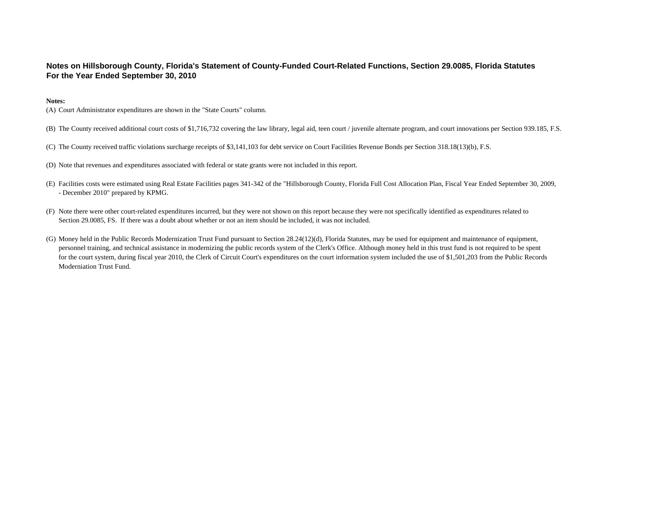### **Notes on Hillsborough County, Florida's Statement of County-Funded Court-Related Functions, Section 29.0085, Florida Statutes For the Year Ended September 30, 2010**

#### **Notes:**

(A) Court Administrator expenditures are shown in the "State Courts" column.

- (B) The County received additional court costs of \$1,716,732 covering the law library, legal aid, teen court / juvenile alternate program, and court innovations per Section 939.185, F.S.
- (C) The County received traffic violations surcharge receipts of \$3,141,103 for debt service on Court Facilities Revenue Bonds per Section 318.18(13)(b), F.S.
- (D) Note that revenues and expenditures associated with federal or state grants were not included in this report.
- (E) Facilities costs were estimated using Real Estate Facilities pages 341-342 of the "Hillsborough County, Florida Full Cost Allocation Plan, Fiscal Year Ended September 30, 2009, - December 2010" prepared by KPMG.
- (F) Note there were other court-related expenditures incurred, but they were not shown on this report because they were not specifically identified as expenditures related to Section 29.0085, FS. If there was a doubt about whether or not an item should be included, it was not included.
- (G) Money held in the Public Records Modernization Trust Fund pursuant to Section 28.24(12)(d), Florida Statutes, may be used for equipment and maintenance of equipment, personnel training, and technical assistance in modernizing the public records system of the Clerk's Office. Although money held in this trust fund is not required to be spent for the court system, during fiscal year 2010, the Clerk of Circuit Court's expenditures on the court information system included the use of \$1,501,203 from the Public Records Moderniation Trust Fund.